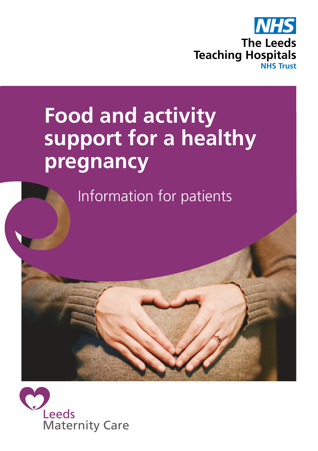

# **Food and activity support for a healthy pregnancy**

Information for patients

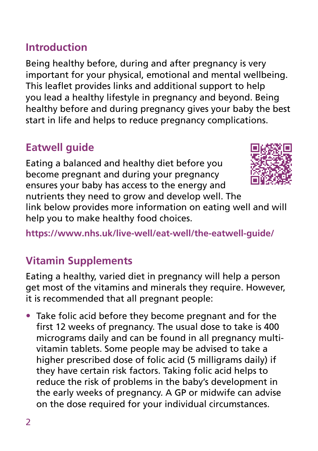### **Introduction**

Being healthy before, during and after pregnancy is very important for your physical, emotional and mental wellbeing. This leaflet provides links and additional support to help you lead a healthy lifestyle in pregnancy and beyond. Being healthy before and during pregnancy gives your baby the best start in life and helps to reduce pregnancy complications.

### **Eatwell guide**

Eating a balanced and healthy diet before you become pregnant and during your pregnancy ensures your baby has access to the energy and

nutrients they need to grow and develop well. The link below provides more information on eating well and will help you to make healthy food choices.

**https://www.nhs.uk/live-well/eat-well/the-eatwell-guide/** 

### **Vitamin Supplements**

Eating a healthy, varied diet in pregnancy will help a person get most of the vitamins and minerals they require. However, it is recommended that all pregnant people:

• Take folic acid before they become pregnant and for the first 12 weeks of pregnancy. The usual dose to take is 400 micrograms daily and can be found in all pregnancy multivitamin tablets. Some people may be advised to take a higher prescribed dose of folic acid (5 milligrams daily) if they have certain risk factors. Taking folic acid helps to reduce the risk of problems in the baby's development in the early weeks of pregnancy. A GP or midwife can advise on the dose required for your individual circumstances.

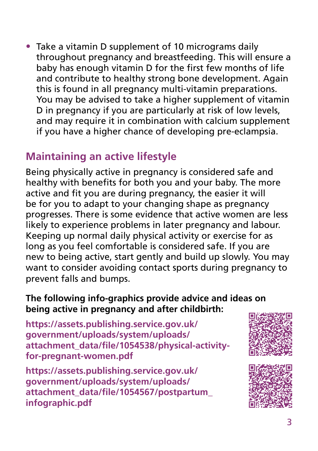• Take a vitamin D supplement of 10 micrograms daily throughout pregnancy and breastfeeding. This will ensure a baby has enough vitamin D for the first few months of life and contribute to healthy strong bone development. Again this is found in all pregnancy multi-vitamin preparations. You may be advised to take a higher supplement of vitamin D in pregnancy if you are particularly at risk of low levels, and may require it in combination with calcium supplement if you have a higher chance of developing pre-eclampsia.

### **Maintaining an active lifestyle**

Being physically active in pregnancy is considered safe and healthy with benefits for both you and your baby. The more active and fit you are during pregnancy, the easier it will be for you to adapt to your changing shape as pregnancy progresses. There is some evidence that active women are less likely to experience problems in later pregnancy and labour. Keeping up normal daily physical activity or exercise for as long as you feel comfortable is considered safe. If you are new to being active, start gently and build up slowly. You may want to consider avoiding contact sports during pregnancy to prevent falls and bumps.

### **The following info-graphics provide advice and ideas on being active in pregnancy and after childbirth:**

**https://assets.publishing.service.gov.uk/ government/uploads/system/uploads/ attachment\_data/file/1054538/physical-activityfor-pregnant-women.pdf**

**https://assets.publishing.service.gov.uk/ government/uploads/system/uploads/ attachment\_data/file/1054567/postpartum\_ infographic.pdf**



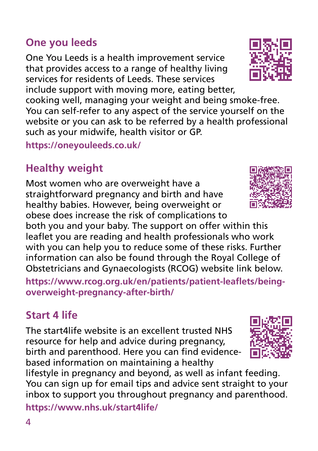### **One you leeds**

One You Leeds is a health improvement service that provides access to a range of healthy living services for residents of Leeds. These services include support with moving more, eating better,

cooking well, managing your weight and being smoke-free. You can self-refer to any aspect of the service yourself on the website or you can ask to be referred by a health professional such as your midwife, health visitor or GP.

**https://oneyouleeds.co.uk/**

## **Healthy weight**

Most women who are overweight have a straightforward pregnancy and birth and have healthy babies. However, being overweight or obese does increase the risk of complications to

both you and your baby. The support on offer within this leaflet you are reading and health professionals who work with you can help you to reduce some of these risks. Further information can also be found through the Royal College of Obstetricians and Gynaecologists (RCOG) website link below.

**https://www.rcog.org.uk/en/patients/patient-leaflets/beingoverweight-pregnancy-after-birth/** 

### **Start 4 life**

The start4life website is an excellent trusted NHS resource for help and advice during pregnancy, birth and parenthood. Here you can find evidencebased information on maintaining a healthy

lifestyle in pregnancy and beyond, as well as infant feeding. You can sign up for email tips and advice sent straight to your inbox to support you throughout pregnancy and parenthood.

**https://www.nhs.uk/start4life/**





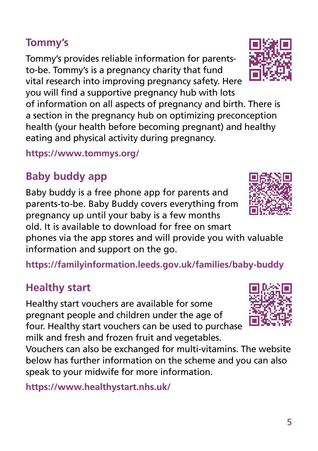### **Tommy's**

Tommy's provides reliable information for parentsto-be. Tommy's is a pregnancy charity that fund vital research into improving pregnancy safety. Here you will find a supportive pregnancy hub with lots

of information on all aspects of pregnancy and birth. There is a section in the pregnancy hub on optimizing preconception health (your health before becoming pregnant) and healthy eating and physical activity during pregnancy.

**https://www.tommys.org/**

# **Baby buddy app**

Baby buddy is a free phone app for parents and parents-to-be. Baby Buddy covers everything from pregnancy up until your baby is a few months old. It is available to download for free on smart

phones via the app stores and will provide you with valuable information and support on the go.

**https://familyinformation.leeds.gov.uk/families/baby-buddy**

## **Healthy start**

Healthy start vouchers are available for some pregnant people and children under the age of four. Healthy start vouchers can be used to purchase milk and fresh and frozen fruit and vegetables.

Vouchers can also be exchanged for multi-vitamins. The website below has further information on the scheme and you can also speak to your midwife for more information.

**https://www.healthystart.nhs.uk/** 





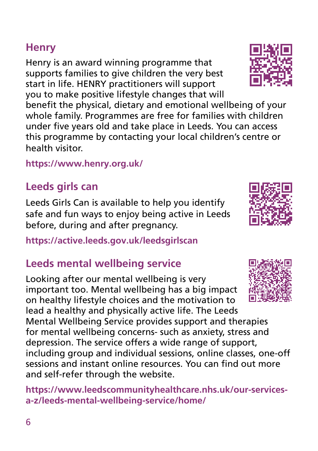lead a healthy and physically active life. The Leeds Mental Wellbeing Service provides support and therapies

Looking after our mental wellbeing is very important too. Mental wellbeing has a big impact on healthy lifestyle choices and the motivation to for mental wellbeing concerns- such as anxiety, stress and depression. The service offers a wide range of support, including group and individual sessions, online classes, one-off

sessions and instant online resources. You can find out more

**https://www.leedscommunityhealthcare.nhs.uk/our-services-**

**https://www.henry.org.uk/**

### **Leeds girls can**

Leeds Girls Can is available to help you identify safe and fun ways to enjoy being active in Leeds before, during and after pregnancy.

**https://active.leeds.gov.uk/leedsgirlscan** 

**Leeds mental wellbeing service**

and self-refer through the website.

**a-z/leeds-mental-wellbeing-service/home/**

# **Henry**

Henry is an award winning programme that supports families to give children the very best start in life. HENRY practitioners will support you to make positive lifestyle changes that will

benefit the physical, dietary and emotional wellbeing of your whole family. Programmes are free for families with children under five years old and take place in Leeds. You can access this programme by contacting your local children's centre or health visitor.





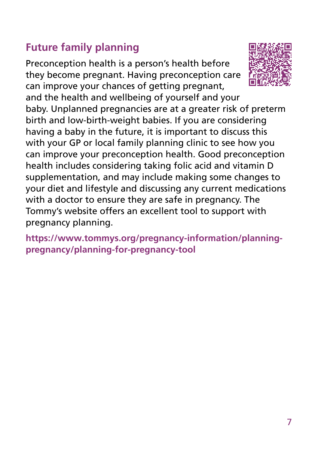### **Future family planning**

Preconception health is a person's health before they become pregnant. Having preconception care can improve your chances of getting pregnant,

and the health and wellbeing of yourself and your baby. Unplanned pregnancies are at a greater risk of preterm birth and low-birth-weight babies. If you are considering having a baby in the future, it is important to discuss this with your GP or local family planning clinic to see how you can improve your preconception health. Good preconception health includes considering taking folic acid and vitamin D supplementation, and may include making some changes to your diet and lifestyle and discussing any current medications with a doctor to ensure they are safe in pregnancy. The Tommy's website offers an excellent tool to support with pregnancy planning.

**https://www.tommys.org/pregnancy-information/planningpregnancy/planning-for-pregnancy-tool**